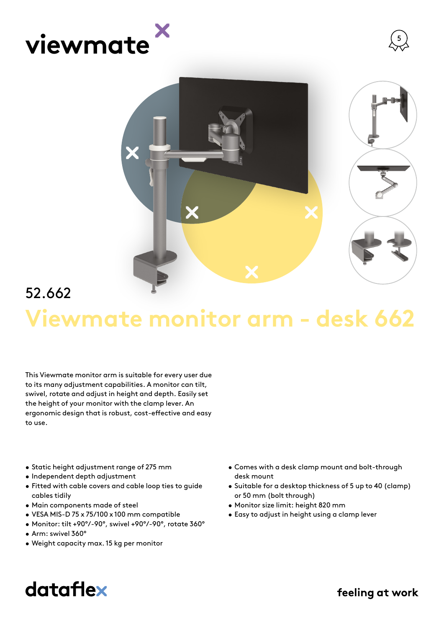





## **Viewmate monitor arm - desk 662** 52.662

This Viewmate monitor arm is suitable for every user due to its many adjustment capabilities. A monitor can tilt, swivel, rotate and adjust in height and depth. Easily set the height of your monitor with the clamp lever. An ergonomic design that is robust, cost-effective and easy to use.

- Static height adjustment range of 275 mm
- Independent depth adjustment
- Fitted with cable covers and cable loop ties to guide cables tidily
- Main components made of steel
- VESA MIS-D 75 x 75/100 x 100 mm compatible
- Monitor: tilt +90°/-90°, swivel +90°/-90°, rotate 360°
- Arm: swivel 360°
- Weight capacity max. 15 kg per monitor
- Comes with a desk clamp mount and bolt-through desk mount
- Suitable for a desktop thickness of 5 up to 40 (clamp) or 50 mm (bolt through)
- Monitor size limit: height 820 mm
- Easy to adjust in height using a clamp lever

## dataflex

feeling at work